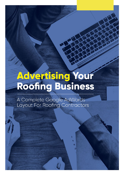# Advertising Your<br>Roofing Business

A Complete Google AdWords Layout For Roofing Contractors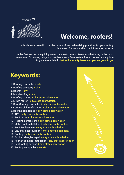

### **Welcome, roofers!**

In this booklet we will cover the basics of best advertising practices for your roofing business. Sit back and let the information soak in!

In the first section we quickly cover the most common keywords that bring in the most conversions. Of course, this just scratches the surface, so feel free to contact us anytime to go in more detail! Just add your city below and you are good to go.

#### **Keywords:**

- 1. Roofing contractor + city
- 2. Roofing company + city
- 3. Roofer + city
- 4. Metal roofing + city
- 5. Roofing coating + city, state abbreviation
- 6. EPDM roofer + city, state abbreviation
- 7. Roof Coating contractor + city, state abbreviation
- 8. Commercial Roof Coating + city, state abbreviation
- 9. Roofing companies + city, state abbreviation
- 10. TPO + city, state abbreviation
- 11. Roof repair + city, state abbreviation
- 12. Roofing contractors + city, state abbreviation
- 13. Metal Roof Installation + city, state abbreviation
- 14. Roof Replacement + city, state abbreviation
- 15. City, state abbreviation + metal roofing company
- 16. Roofing + city, state abbreviation
- 17. Asphalt shingles repair + city, state abbreviation
- 18. Asphalt shingles installation + city, state abbreviation
- 19. Best roofing service + city, state abbreviation
- 20. Roofing companies near Me

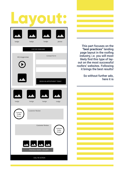## **[Layout:](http://preview.ibb.co/byJOHx/Add_heading_1.jpg)**



This part focuses on the **"best practices"** landing page layout in the roofing industry, i.e. you will most likely find this type of layout on the most successful roofers' websites. Following it brings the best results!

> So without further ado, here it is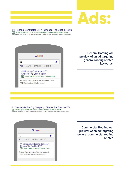### **Ads:**

#1 Roofing Contractor CITY | Choose The Best In Town Ad www.expandedtextads.com/roofing-company/free-inspection -Your roof will be built to last a lifetime. Get a FREE estimate within 24 hours!



General Roofing Ad: preview of an ad targeting general roofing related keywords!

#### #1 Commercial Roofing Company | Choose The Best In CITY

[Ad] www.expandedtextads.com/commercial-roof/free-inspection -20 Year Material & Labor Warranty Included. Leak-Free Roof Systems - Guaranteed.

| Google |  |                         |                                                                                                                    |  |
|--------|--|-------------------------|--------------------------------------------------------------------------------------------------------------------|--|
| Q      |  |                         |                                                                                                                    |  |
| AI     |  | MAPS IMAGES VIDEOS      |                                                                                                                    |  |
|        |  | Choose The Best In CITY | #1 Commercial Roofing Company  <br>Ad www.expandedtextads.com/comme<br>20 Year Material & Labor Warranty Included. |  |

Commercial Roofing Ad: preview of an ad targeting general commercial roofing related